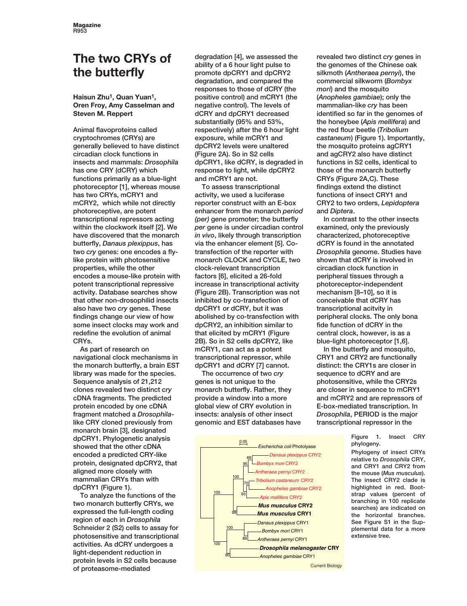# **The two CRYs of the butterfly**

## **Haisun Zhu1, Quan Yuan1, Oren Froy, Amy Casselman and Steven M. Reppert**

Animal flavoproteins called cryptochromes (CRYs) are generally believed to have distinct circadian clock functions in insects and mammals: *Drosophila* has one CRY (dCRY) which functions primarily as a blue-light photoreceptor [1], whereas mouse has two CRYs, mCRY1 and mCRY2, which while not directly photoreceptive, are potent transcriptional repressors acting within the clockwork itself [2]. We have discovered that the monarch butterfly, *Danaus plexippus*, has two *cry* genes: one encodes a flylike protein with photosensitive properties, while the other encodes a mouse-like protein with potent transcriptional repressive activity. Database searches show that other non-drosophilid insects also have two *cry* genes. These findings change our view of how some insect clocks may work and redefine the evolution of animal CRYs.

As part of research on navigational clock mechanisms in the monarch butterfly, a brain EST library was made for the species. Sequence analysis of 21,212 clones revealed two distinct *cry* cDNA fragments. The predicted protein encoded by one cDNA fragment matched a *Drosophila*like CRY cloned previously from monarch brain [3], designated dpCRY1. Phylogenetic analysis showed that the other cDNA encoded a predicted CRY-like protein, designated dpCRY2, that aligned more closely with mammalian CRYs than with dpCRY1 (Figure 1).

To analyze the functions of the two monarch butterfly CRYs, we expressed the full-length coding region of each in *Drosophila* Schneider 2 (S2) cells to assay for photosensitive and transcriptional activities. As dCRY undergoes a light-dependent reduction in protein levels in S2 cells because of proteasome-mediated

degradation [4], we assessed the ability of a 6 hour light pulse to promote dpCRY1 and dpCRY2 degradation, and compared the responses to those of dCRY (the positive control) and mCRY1 (the negative control). The levels of dCRY and dpCRY1 decreased substantially (95% and 53%, respectively) after the 6 hour light exposure, while mCRY1 and dpCRY2 levels were unaltered (Figure 2A). So in S2 cells dpCRY1, like dCRY, is degraded in response to light, while dpCRY2 and mCRY1 are not.

To assess transcriptional activity, we used a luciferase reporter construct with an E-box enhancer from the monarch *period (per)* gene promoter; the butterfly *per* gene is under circadian control *in vivo*, likely through transcription via the enhancer element [5]. Cotransfection of the reporter with monarch CLOCK and CYCLE, two clock-relevant transcription factors [6], elicited a 26-fold increase in transcriptional activity (Figure 2B). Transcription was not inhibited by co-transfection of dpCRY1 or dCRY, but it was abolished by co-transfection with dpCRY2, an inhibition similar to that elicited by mCRY1 (Figure 2B). So in S2 cells dpCRY2, like mCRY1, can act as a potent transcriptional repressor, while dpCRY1 and dCRY [7] cannot.

The occurrence of two *cry* genes is not unique to the monarch butterfly. Rather, they provide a window into a more global view of CRY evolution in insects: analysis of other insect genomic and EST databases have

Anopheles gambiae CRY1 **Drosophila melanogaster CRY** Antheraea pernyi CRY1 Bombyx mori CRY1 Danaus plexippus CRY1 89 90 100 **Mus musculus CRY1 Mus musculus CRY2** Apis mellifera CRY2 Anopheles gambiae CRY2 Tribolium castaneum CRY2 Antheraea pernyi CRY2 Bombyx mori CRY2 - Danaus plexippus CRY2 93 95 99 100 100 100 Escherichia coli Photolyase 0.05

revealed two distinct *cry* genes in the genomes of the Chinese oak silkmoth (*Antheraea pernyi*), the commercial silkworm (*Bombyx mori*) and the mosquito (*Anopheles gambiae*); only the mammalian-like *cry* has been identified so far in the genomes of the honeybee (*Apis mellifera*) and the red flour beetle (*Tribolium castaneum*) (Figure 1). Importantly, the mosquito proteins agCRY1 and agCRY2 also have distinct functions in S2 cells, identical to those of the monarch butterfly CRYs (Figure 2A,C). These findings extend the distinct functions of insect CRY1 and CRY2 to two orders, *Lepidoptera* and *Diptera*.

In contrast to the other insects examined, only the previously characterized, photoreceptive dCRY is found in the annotated *Drosophila* genome. Studies have shown that dCRY is involved in circadian clock function in peripheral tissues through a photoreceptor-independent mechanism [8–10], so it is conceivable that dCRY has transcriptional acitvity in peripheral clocks. The only bona fide function of dCRY in the central clock, however, is as a blue-light photoreceptor [1,6].

In the butterfly and mosquito, CRY1 and CRY2 are functionally distinct: the CRY1s are closer in sequence to dCRY and are photosensitive, while the CRY2s are closer in sequence to mCRY1 and mCRY2 and are repressors of E-box-mediated transcription. In *Drosophila*, PERIOD is the major transcriptional repressor in the

> Figure 1. Insect CRY phylogeny.

Phylogeny of insect CRYs relative to *Drosophila* CRY, and CRY1 and CRY2 from the mouse (*Mus musculus*). The insect CRY2 clade is highlighted in red. Bootstrap values (percent of branching in 100 replicate searches) are indicated on the horizontal branches. See Figure S1 in the Supplemental data for a more extensive tree.